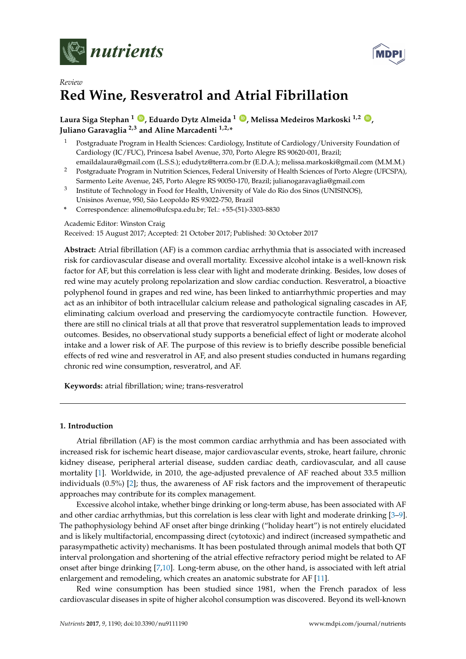



# *Review* **Red Wine, Resveratrol and Atrial Fibrillation**

# **Laura Siga Stephan <sup>1</sup> [ID](https://orcid.org/0000-0001-7352-4276) , Eduardo Dytz Almeida <sup>1</sup> [ID](https://orcid.org/0000-0003-2389-9875) , Melissa Medeiros Markoski 1,2 [ID](https://orcid.org/0000-0003-2982-5850) , Juliano Garavaglia 2,3 and Aline Marcadenti 1,2,\***

- <sup>1</sup> Postgraduate Program in Health Sciences: Cardiology, Institute of Cardiology/University Foundation of Cardiology (IC/FUC), Princesa Isabel Avenue, 370, Porto Alegre RS 90620-001, Brazil;
- emaildalaura@gmail.com (L.S.S.); edudytz@terra.com.br (E.D.A.); melissa.markoski@gmail.com (M.M.M.) <sup>2</sup> Postgraduate Program in Nutrition Sciences, Federal University of Health Sciences of Porto Alegre (UFCSPA),
- Sarmento Leite Avenue, 245, Porto Alegre RS 90050-170, Brazil; julianogaravaglia@gmail.com 3 Institute of Technology in Food for Health, University of Vale do Rio dos Sinos (UNISINOS), Unisinos Avenue, 950, São Leopoldo RS 93022-750, Brazil
- **\*** Correspondence: alinemo@ufcspa.edu.br; Tel.: +55-(51)-3303-8830

## Academic Editor: Winston Craig

Received: 15 August 2017; Accepted: 21 October 2017; Published: 30 October 2017

**Abstract:** Atrial fibrillation (AF) is a common cardiac arrhythmia that is associated with increased risk for cardiovascular disease and overall mortality. Excessive alcohol intake is a well-known risk factor for AF, but this correlation is less clear with light and moderate drinking. Besides, low doses of red wine may acutely prolong repolarization and slow cardiac conduction. Resveratrol, a bioactive polyphenol found in grapes and red wine, has been linked to antiarrhythmic properties and may act as an inhibitor of both intracellular calcium release and pathological signaling cascades in AF, eliminating calcium overload and preserving the cardiomyocyte contractile function. However, there are still no clinical trials at all that prove that resveratrol supplementation leads to improved outcomes. Besides, no observational study supports a beneficial effect of light or moderate alcohol intake and a lower risk of AF. The purpose of this review is to briefly describe possible beneficial effects of red wine and resveratrol in AF, and also present studies conducted in humans regarding chronic red wine consumption, resveratrol, and AF.

**Keywords:** atrial fibrillation; wine; trans-resveratrol

### **1. Introduction**

Atrial fibrillation (AF) is the most common cardiac arrhythmia and has been associated with increased risk for ischemic heart disease, major cardiovascular events, stroke, heart failure, chronic kidney disease, peripheral arterial disease, sudden cardiac death, cardiovascular, and all cause mortality [\[1\]](#page-5-0). Worldwide, in 2010, the age-adjusted prevalence of AF reached about 33.5 million individuals (0.5%) [\[2\]](#page-5-1); thus, the awareness of AF risk factors and the improvement of therapeutic approaches may contribute for its complex management.

Excessive alcohol intake, whether binge drinking or long-term abuse, has been associated with AF and other cardiac arrhythmias, but this correlation is less clear with light and moderate drinking [\[3–](#page-5-2)[9\]](#page-5-3). The pathophysiology behind AF onset after binge drinking ("holiday heart") is not entirely elucidated and is likely multifactorial, encompassing direct (cytotoxic) and indirect (increased sympathetic and parasympathetic activity) mechanisms. It has been postulated through animal models that both QT interval prolongation and shortening of the atrial effective refractory period might be related to AF onset after binge drinking [\[7](#page-5-4)[,10\]](#page-5-5). Long-term abuse, on the other hand, is associated with left atrial enlargement and remodeling, which creates an anatomic substrate for AF [\[11\]](#page-6-0).

Red wine consumption has been studied since 1981, when the French paradox of less cardiovascular diseases in spite of higher alcohol consumption was discovered. Beyond its well-known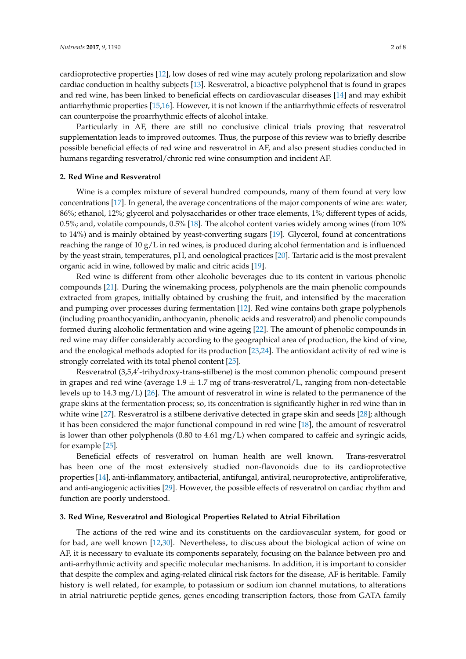cardioprotective properties [\[12\]](#page-6-1), low doses of red wine may acutely prolong repolarization and slow cardiac conduction in healthy subjects [\[13\]](#page-6-2). Resveratrol, a bioactive polyphenol that is found in grapes and red wine, has been linked to beneficial effects on cardiovascular diseases [\[14\]](#page-6-3) and may exhibit antiarrhythmic properties [\[15](#page-6-4)[,16\]](#page-6-5). However, it is not known if the antiarrhythmic effects of resveratrol can counterpoise the proarrhythmic effects of alcohol intake.

Particularly in AF, there are still no conclusive clinical trials proving that resveratrol supplementation leads to improved outcomes. Thus, the purpose of this review was to briefly describe possible beneficial effects of red wine and resveratrol in AF, and also present studies conducted in humans regarding resveratrol/chronic red wine consumption and incident AF.

#### **2. Red Wine and Resveratrol**

Wine is a complex mixture of several hundred compounds, many of them found at very low concentrations [\[17\]](#page-6-6). In general, the average concentrations of the major components of wine are: water, 86%; ethanol, 12%; glycerol and polysaccharides or other trace elements, 1%; different types of acids, 0.5%; and, volatile compounds, 0.5% [\[18\]](#page-6-7). The alcohol content varies widely among wines (from 10% to 14%) and is mainly obtained by yeast-converting sugars [\[19\]](#page-6-8). Glycerol, found at concentrations reaching the range of 10 g/L in red wines, is produced during alcohol fermentation and is influenced by the yeast strain, temperatures, pH, and oenological practices [\[20\]](#page-6-9). Tartaric acid is the most prevalent organic acid in wine, followed by malic and citric acids [\[19\]](#page-6-8).

Red wine is different from other alcoholic beverages due to its content in various phenolic compounds [\[21\]](#page-6-10). During the winemaking process, polyphenols are the main phenolic compounds extracted from grapes, initially obtained by crushing the fruit, and intensified by the maceration and pumping over processes during fermentation [\[12\]](#page-6-1). Red wine contains both grape polyphenols (including proanthocyanidin, anthocyanin, phenolic acids and resveratrol) and phenolic compounds formed during alcoholic fermentation and wine ageing [\[22\]](#page-6-11). The amount of phenolic compounds in red wine may differ considerably according to the geographical area of production, the kind of vine, and the enological methods adopted for its production [\[23,](#page-6-12)[24\]](#page-6-13). The antioxidant activity of red wine is strongly correlated with its total phenol content [\[25\]](#page-6-14).

Resveratrol (3,5,4'-trihydroxy-trans-stilbene) is the most common phenolic compound present in grapes and red wine (average  $1.9 \pm 1.7$  mg of trans-resveratrol/L, ranging from non-detectable levels up to 14.3 mg/L) [\[26\]](#page-6-15). The amount of resveratrol in wine is related to the permanence of the grape skins at the fermentation process; so, its concentration is significantly higher in red wine than in white wine [\[27\]](#page-6-16). Resveratrol is a stilbene derivative detected in grape skin and seeds [\[28\]](#page-6-17); although it has been considered the major functional compound in red wine [\[18\]](#page-6-7), the amount of resveratrol is lower than other polyphenols  $(0.80 \text{ to } 4.61 \text{ mg/L})$  when compared to caffeic and syringic acids, for example [\[25\]](#page-6-14).

Beneficial effects of resveratrol on human health are well known. Trans-resveratrol has been one of the most extensively studied non-flavonoids due to its cardioprotective properties [\[14\]](#page-6-3), anti-inflammatory, antibacterial, antifungal, antiviral, neuroprotective, antiproliferative, and anti-angiogenic activities [\[29\]](#page-6-18). However, the possible effects of resveratrol on cardiac rhythm and function are poorly understood.

### **3. Red Wine, Resveratrol and Biological Properties Related to Atrial Fibrilation**

The actions of the red wine and its constituents on the cardiovascular system, for good or for bad, are well known [\[12,](#page-6-1)[30\]](#page-6-19). Nevertheless, to discuss about the biological action of wine on AF, it is necessary to evaluate its components separately, focusing on the balance between pro and anti-arrhythmic activity and specific molecular mechanisms. In addition, it is important to consider that despite the complex and aging-related clinical risk factors for the disease, AF is heritable. Family history is well related, for example, to potassium or sodium ion channel mutations, to alterations in atrial natriuretic peptide genes, genes encoding transcription factors, those from GATA family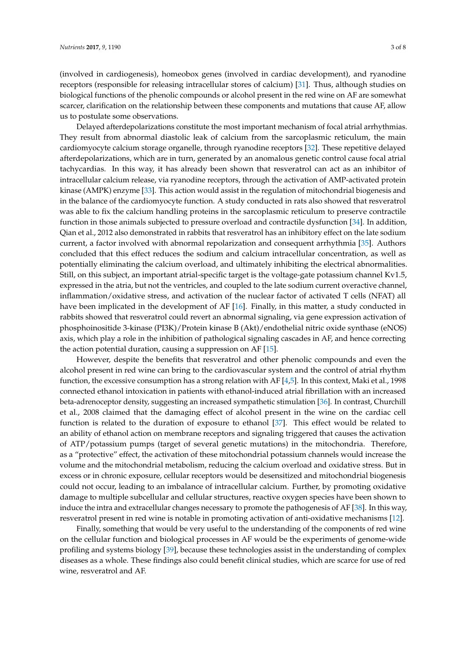(involved in cardiogenesis), homeobox genes (involved in cardiac development), and ryanodine receptors (responsible for releasing intracellular stores of calcium) [\[31\]](#page-6-20). Thus, although studies on biological functions of the phenolic compounds or alcohol present in the red wine on AF are somewhat scarcer, clarification on the relationship between these components and mutations that cause AF, allow us to postulate some observations.

Delayed afterdepolarizations constitute the most important mechanism of focal atrial arrhythmias. They result from abnormal diastolic leak of calcium from the sarcoplasmic reticulum, the main cardiomyocyte calcium storage organelle, through ryanodine receptors [\[32\]](#page-6-21). These repetitive delayed afterdepolarizations, which are in turn, generated by an anomalous genetic control cause focal atrial tachycardias. In this way, it has already been shown that resveratrol can act as an inhibitor of intracellular calcium release, via ryanodine receptors, through the activation of AMP-activated protein kinase (AMPK) enzyme [\[33\]](#page-7-0). This action would assist in the regulation of mitochondrial biogenesis and in the balance of the cardiomyocyte function. A study conducted in rats also showed that resveratrol was able to fix the calcium handling proteins in the sarcoplasmic reticulum to preserve contractile function in those animals subjected to pressure overload and contractile dysfunction [\[34\]](#page-7-1). In addition, Qian et al., 2012 also demonstrated in rabbits that resveratrol has an inhibitory effect on the late sodium current, a factor involved with abnormal repolarization and consequent arrhythmia [\[35\]](#page-7-2). Authors concluded that this effect reduces the sodium and calcium intracellular concentration, as well as potentially eliminating the calcium overload, and ultimately inhibiting the electrical abnormalities. Still, on this subject, an important atrial-specific target is the voltage-gate potassium channel Kv1.5, expressed in the atria, but not the ventricles, and coupled to the late sodium current overactive channel, inflammation/oxidative stress, and activation of the nuclear factor of activated T cells (NFAT) all have been implicated in the development of AF [\[16\]](#page-6-5). Finally, in this matter, a study conducted in rabbits showed that resveratrol could revert an abnormal signaling, via gene expression activation of phosphoinositide 3-kinase (PI3K)/Protein kinase B (Akt)/endothelial nitric oxide synthase (eNOS) axis, which play a role in the inhibition of pathological signaling cascades in AF, and hence correcting the action potential duration, causing a suppression on AF [\[15\]](#page-6-4).

However, despite the benefits that resveratrol and other phenolic compounds and even the alcohol present in red wine can bring to the cardiovascular system and the control of atrial rhythm function, the excessive consumption has a strong relation with AF [\[4,](#page-5-6)[5\]](#page-5-7). In this context, Maki et al., 1998 connected ethanol intoxication in patients with ethanol-induced atrial fibrillation with an increased beta-adrenoceptor density, suggesting an increased sympathetic stimulation [\[36\]](#page-7-3). In contrast, Churchill et al., 2008 claimed that the damaging effect of alcohol present in the wine on the cardiac cell function is related to the duration of exposure to ethanol [\[37\]](#page-7-4). This effect would be related to an ability of ethanol action on membrane receptors and signaling triggered that causes the activation of ATP/potassium pumps (target of several genetic mutations) in the mitochondria. Therefore, as a "protective" effect, the activation of these mitochondrial potassium channels would increase the volume and the mitochondrial metabolism, reducing the calcium overload and oxidative stress. But in excess or in chronic exposure, cellular receptors would be desensitized and mitochondrial biogenesis could not occur, leading to an imbalance of intracellular calcium. Further, by promoting oxidative damage to multiple subcellular and cellular structures, reactive oxygen species have been shown to induce the intra and extracellular changes necessary to promote the pathogenesis of AF [\[38\]](#page-7-5). In this way, resveratrol present in red wine is notable in promoting activation of anti-oxidative mechanisms [\[12\]](#page-6-1).

Finally, something that would be very useful to the understanding of the components of red wine on the cellular function and biological processes in AF would be the experiments of genome-wide profiling and systems biology [\[39\]](#page-7-6), because these technologies assist in the understanding of complex diseases as a whole. These findings also could benefit clinical studies, which are scarce for use of red wine, resveratrol and AF.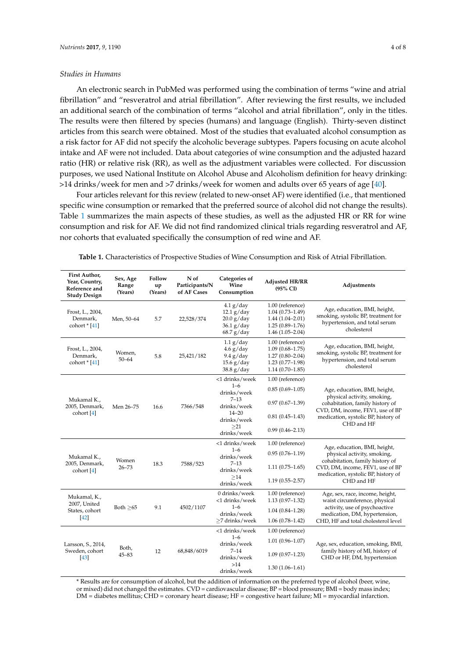#### *Studies in Humans*

An electronic search in PubMed was performed using the combination of terms "wine and atrial fibrillation" and "resveratrol and atrial fibrillation". After reviewing the first results, we included an additional search of the combination of terms "alcohol and atrial fibrillation", only in the titles. The results were then filtered by species (humans) and language (English). Thirty-seven distinct articles from this search were obtained. Most of the studies that evaluated alcohol consumption as a risk factor for AF did not specify the alcoholic beverage subtypes. Papers focusing on acute alcohol intake and AF were not included. Data about categories of wine consumption and the adjusted hazard ratio (HR) or relative risk (RR), as well as the adjustment variables were collected. For discussion purposes, we used National Institute on Alcohol Abuse and Alcoholism definition for heavy drinking: >14 drinks/week for men and >7 drinks/week for women and adults over 65 years of age [\[40\]](#page-7-7).

Four articles relevant for this review (related to new-onset AF) were identified (i.e., that mentioned specific wine consumption or remarked that the preferred source of alcohol did not change the results). Table [1](#page-3-0) summarizes the main aspects of these studies, as well as the adjusted HR or RR for wine consumption and risk for AF. We did not find randomized clinical trials regarding resveratrol and AF, nor cohorts that evaluated specifically the consumption of red wine and AF.

| First Author,<br>Year, Country,<br>Reference and<br><b>Study Design</b> | Sex, Age<br>Range<br>(Years) | Follow<br>up<br>(Years) | N of<br>Participants/N<br>of AF Cases | Categories of<br>Wine<br>Consumption                                      | <b>Adjusted HR/RR</b><br>$(95\% \text{ CI})$                                                               | Adjustments                                                                                                                                                                             |
|-------------------------------------------------------------------------|------------------------------|-------------------------|---------------------------------------|---------------------------------------------------------------------------|------------------------------------------------------------------------------------------------------------|-----------------------------------------------------------------------------------------------------------------------------------------------------------------------------------------|
| Frost, L., 2004,<br>Denmark,<br>cohort $[41]$                           | Men, 50-64                   | 5.7                     | 22,528/374                            | $4.1$ g/day<br>$12.1$ g/day<br>20.0 g/day<br>$36.1$ g/day<br>$68.7$ g/day | 1.00 (reference)<br>$1.04(0.73 - 1.49)$<br>$1.44(1.04 - 2.01)$<br>$1.25(0.89 - 1.76)$<br>$1.46(1.05-2.04)$ | Age, education, BMI, height,<br>smoking, systolic BP, treatment for<br>hypertension, and total serum<br>cholesterol                                                                     |
| Frost, L., 2004,<br>Denmark,<br>cohort $*$ [41]                         | Women,<br>$50 - 64$          | 5.8                     | 25,421/182                            | $1.1$ g/day<br>$4.6$ g/day<br>$9.4$ g/day<br>$15.6$ g/day<br>38.8 g/day   | 1.00 (reference)<br>$1.09(0.68 - 1.75)$<br>$1.27(0.80 - 2.04)$<br>$1.23(0.77-1.98)$<br>$1.14(0.70-1.85)$   | Age, education, BMI, height,<br>smoking, systolic BP, treatment for<br>hypertension, and total serum<br>cholesterol                                                                     |
| Mukamal K.,<br>2005, Denmark,<br>cohort [4]                             | Men 26-75                    | 16.6                    | 7366/548                              | <1 drinks/week                                                            | 1.00 (reference)                                                                                           | Age, education, BMI, height,<br>physical activity, smoking,<br>cohabitation, family history of<br>CVD, DM, income, FEV1, use of BP<br>medication, systolic BP, history of<br>CHD and HF |
|                                                                         |                              |                         |                                       | $1 - 6$<br>drinks/week                                                    | $0.85(0.69 - 1.05)$                                                                                        |                                                                                                                                                                                         |
|                                                                         |                              |                         |                                       | $7 - 13$<br>drinks/week                                                   | $0.97(0.67 - 1.39)$                                                                                        |                                                                                                                                                                                         |
|                                                                         |                              |                         |                                       | $14 - 20$<br>drinks/week                                                  | $0.81(0.45 - 1.43)$                                                                                        |                                                                                                                                                                                         |
|                                                                         |                              |                         |                                       | >21<br>drinks/week                                                        | $0.99(0.46 - 2.13)$                                                                                        |                                                                                                                                                                                         |
| Mukamal K.,<br>2005, Denmark,<br>cohort $[4]$                           | Women<br>$26 - 73$           | 18.3                    | 7588/523                              | <1 drinks/week                                                            | 1.00 (reference)                                                                                           | Age, education, BMI, height,<br>physical activity, smoking,<br>cohabitation, family history of<br>CVD, DM, income, FEV1, use of BP<br>medication, systolic BP, history of<br>CHD and HF |
|                                                                         |                              |                         |                                       | $1 - 6$<br>drinks/week                                                    | $0.95(0.76 - 1.19)$                                                                                        |                                                                                                                                                                                         |
|                                                                         |                              |                         |                                       | $7 - 13$<br>drinks/week                                                   | $1.11(0.75 - 1.65)$                                                                                        |                                                                                                                                                                                         |
|                                                                         |                              |                         |                                       | >14<br>drinks/week                                                        | $1.19(0.55 - 2.57)$                                                                                        |                                                                                                                                                                                         |
| Mukamal, K.,<br>2007, United<br>States, cohort<br>$[42]$                | Both $\geq 65$               | 9.1                     | 4502/1107                             | 0 drinks/week<br><1 drinks/week                                           | 1.00 (reference)<br>$1.13(0.97-1.32)$                                                                      | Age, sex, race, income, height,<br>waist circumference, physical<br>activity, use of psychoactive<br>medication, DM, hypertension,<br>CHD, HF and total cholesterol level               |
|                                                                         |                              |                         |                                       | $1 - 6$                                                                   | $1.04(0.84 - 1.28)$                                                                                        |                                                                                                                                                                                         |
|                                                                         |                              |                         |                                       | drinks/week<br>$\geq$ 7 drinks/week                                       | $1.06(0.78-1.42)$                                                                                          |                                                                                                                                                                                         |
| Larsson, S., 2014,<br>Sweden, cohort<br>$[43]$                          | Both,<br>$45 - 83$           | 12                      | 68,848/6019                           | <1 drinks/week                                                            | 1.00 (reference)                                                                                           | Age, sex, education, smoking, BMI,<br>family history of MI, history of<br>CHD or HF, DM, hypertension                                                                                   |
|                                                                         |                              |                         |                                       | $1 - 6$<br>drinks/week                                                    | $1.01(0.96 - 1.07)$                                                                                        |                                                                                                                                                                                         |
|                                                                         |                              |                         |                                       | $7 - 14$<br>drinks/week                                                   | $1.09(0.97 - 1.23)$                                                                                        |                                                                                                                                                                                         |
|                                                                         |                              |                         |                                       | >14<br>drinks/week                                                        | $1.30(1.06 - 1.61)$                                                                                        |                                                                                                                                                                                         |

<span id="page-3-0"></span>**Table 1.** Characteristics of Prospective Studies of Wine Consumption and Risk of Atrial Fibrillation.

\* Results are for consumption of alcohol, but the addition of information on the preferred type of alcohol (beer, wine, or mixed) did not changed the estimates. CVD = cardiovascular disease; BP = blood pressure; BMI = body mass index; DM = diabetes mellitus; CHD = coronary heart disease; HF = congestive heart failure; MI = myocardial infarction.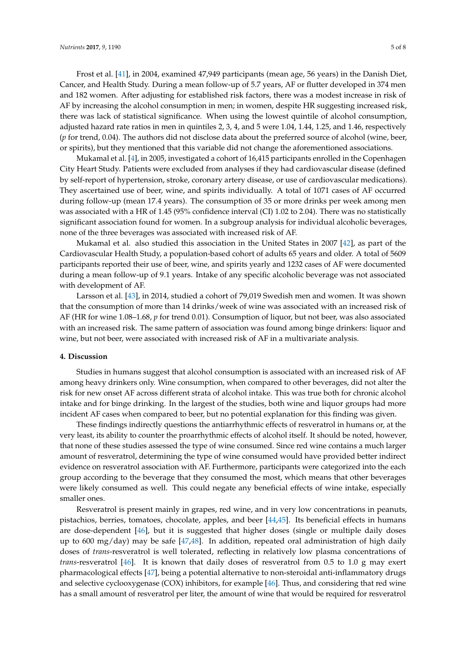Frost et al. [\[41\]](#page-7-8), in 2004, examined 47,949 participants (mean age, 56 years) in the Danish Diet, Cancer, and Health Study. During a mean follow-up of 5.7 years, AF or flutter developed in 374 men and 182 women. After adjusting for established risk factors, there was a modest increase in risk of AF by increasing the alcohol consumption in men; in women, despite HR suggesting increased risk, there was lack of statistical significance. When using the lowest quintile of alcohol consumption, adjusted hazard rate ratios in men in quintiles 2, 3, 4, and 5 were 1.04, 1.44, 1.25, and 1.46, respectively (*p* for trend, 0.04). The authors did not disclose data about the preferred source of alcohol (wine, beer, or spirits), but they mentioned that this variable did not change the aforementioned associations.

Mukamal et al. [\[4\]](#page-5-6), in 2005, investigated a cohort of 16,415 participants enrolled in the Copenhagen City Heart Study. Patients were excluded from analyses if they had cardiovascular disease (defined by self-report of hypertension, stroke, coronary artery disease, or use of cardiovascular medications). They ascertained use of beer, wine, and spirits individually. A total of 1071 cases of AF occurred during follow-up (mean 17.4 years). The consumption of 35 or more drinks per week among men was associated with a HR of 1.45 (95% confidence interval (CI) 1.02 to 2.04). There was no statistically significant association found for women. In a subgroup analysis for individual alcoholic beverages, none of the three beverages was associated with increased risk of AF.

Mukamal et al. also studied this association in the United States in 2007 [\[42\]](#page-7-9), as part of the Cardiovascular Health Study, a population-based cohort of adults 65 years and older. A total of 5609 participants reported their use of beer, wine, and spirits yearly and 1232 cases of AF were documented during a mean follow-up of 9.1 years. Intake of any specific alcoholic beverage was not associated with development of AF.

Larsson et al. [\[43\]](#page-7-10), in 2014, studied a cohort of 79,019 Swedish men and women. It was shown that the consumption of more than 14 drinks/week of wine was associated with an increased risk of AF (HR for wine 1.08–1.68, *p* for trend 0.01). Consumption of liquor, but not beer, was also associated with an increased risk. The same pattern of association was found among binge drinkers: liquor and wine, but not beer, were associated with increased risk of AF in a multivariate analysis.

#### **4. Discussion**

Studies in humans suggest that alcohol consumption is associated with an increased risk of AF among heavy drinkers only. Wine consumption, when compared to other beverages, did not alter the risk for new onset AF across different strata of alcohol intake. This was true both for chronic alcohol intake and for binge drinking. In the largest of the studies, both wine and liquor groups had more incident AF cases when compared to beer, but no potential explanation for this finding was given.

These findings indirectly questions the antiarrhythmic effects of resveratrol in humans or, at the very least, its ability to counter the proarrhythmic effects of alcohol itself. It should be noted, however, that none of these studies assessed the type of wine consumed. Since red wine contains a much larger amount of resveratrol, determining the type of wine consumed would have provided better indirect evidence on resveratrol association with AF. Furthermore, participants were categorized into the each group according to the beverage that they consumed the most, which means that other beverages were likely consumed as well. This could negate any beneficial effects of wine intake, especially smaller ones.

Resveratrol is present mainly in grapes, red wine, and in very low concentrations in peanuts, pistachios, berries, tomatoes, chocolate, apples, and beer [\[44](#page-7-11)[,45\]](#page-7-12). Its beneficial effects in humans are dose-dependent [\[46\]](#page-7-13), but it is suggested that higher doses (single or multiple daily doses up to 600 mg/day) may be safe [\[47,](#page-7-14)[48\]](#page-7-15). In addition, repeated oral administration of high daily doses of *trans*-resveratrol is well tolerated, reflecting in relatively low plasma concentrations of *trans*-resveratrol [\[46\]](#page-7-13). It is known that daily doses of resveratrol from 0.5 to 1.0 g may exert pharmacological effects [\[47\]](#page-7-14), being a potential alternative to non-steroidal anti-inflammatory drugs and selective cyclooxygenase (COX) inhibitors, for example [\[46\]](#page-7-13). Thus, and considering that red wine has a small amount of resveratrol per liter, the amount of wine that would be required for resveratrol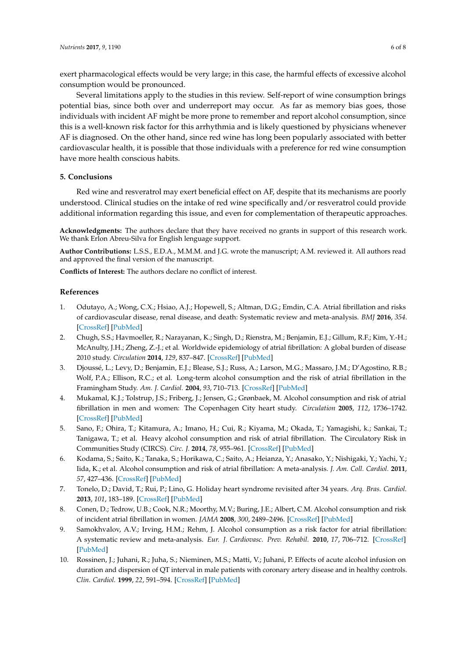exert pharmacological effects would be very large; in this case, the harmful effects of excessive alcohol consumption would be pronounced.

Several limitations apply to the studies in this review. Self-report of wine consumption brings potential bias, since both over and underreport may occur. As far as memory bias goes, those individuals with incident AF might be more prone to remember and report alcohol consumption, since this is a well-known risk factor for this arrhythmia and is likely questioned by physicians whenever AF is diagnosed. On the other hand, since red wine has long been popularly associated with better cardiovascular health, it is possible that those individuals with a preference for red wine consumption have more health conscious habits.

### **5. Conclusions**

Red wine and resveratrol may exert beneficial effect on AF, despite that its mechanisms are poorly understood. Clinical studies on the intake of red wine specifically and/or resveratrol could provide additional information regarding this issue, and even for complementation of therapeutic approaches.

**Acknowledgments:** The authors declare that they have received no grants in support of this research work. We thank Erlon Abreu-Silva for English lenguage support.

**Author Contributions:** L.S.S., E.D.A., M.M.M. and J.G. wrote the manuscript; A.M. reviewed it. All authors read and approved the final version of the manuscript.

**Conflicts of Interest:** The authors declare no conflict of interest.

### **References**

- <span id="page-5-0"></span>1. Odutayo, A.; Wong, C.X.; Hsiao, A.J.; Hopewell, S.; Altman, D.G.; Emdin, C.A. Atrial fibrillation and risks of cardiovascular disease, renal disease, and death: Systematic review and meta-analysis. *BMJ* **2016**, *354*. [\[CrossRef\]](http://dx.doi.org/10.1136/bmj.i4482) [\[PubMed\]](http://www.ncbi.nlm.nih.gov/pubmed/27599725)
- <span id="page-5-1"></span>2. Chugh, S.S.; Havmoeller, R.; Narayanan, K.; Singh, D.; Rienstra, M.; Benjamin, E.J.; Gillum, R.F.; Kim, Y.-H.; McAnulty, J.H.; Zheng, Z.-J.; et al. Worldwide epidemiology of atrial fibrillation: A global burden of disease 2010 study. *Circulation* **2014**, *129*, 837–847. [\[CrossRef\]](http://dx.doi.org/10.1161/CIRCULATIONAHA.113.005119) [\[PubMed\]](http://www.ncbi.nlm.nih.gov/pubmed/24345399)
- <span id="page-5-2"></span>3. Djoussé, L.; Levy, D.; Benjamin, E.J.; Blease, S.J.; Russ, A.; Larson, M.G.; Massaro, J.M.; D'Agostino, R.B.; Wolf, P.A.; Ellison, R.C.; et al. Long-term alcohol consumption and the risk of atrial fibrillation in the Framingham Study. *Am. J. Cardiol.* **2004**, *93*, 710–713. [\[CrossRef\]](http://dx.doi.org/10.1016/j.amjcard.2003.12.004) [\[PubMed\]](http://www.ncbi.nlm.nih.gov/pubmed/15019874)
- <span id="page-5-6"></span>4. Mukamal, K.J.; Tolstrup, J.S.; Friberg, J.; Jensen, G.; Grønbaek, M. Alcohol consumption and risk of atrial fibrillation in men and women: The Copenhagen City heart study. *Circulation* **2005**, *112*, 1736–1742. [\[CrossRef\]](http://dx.doi.org/10.1161/CIRCULATIONAHA.105.547844) [\[PubMed\]](http://www.ncbi.nlm.nih.gov/pubmed/16157768)
- <span id="page-5-7"></span>5. Sano, F.; Ohira, T.; Kitamura, A.; Imano, H.; Cui, R.; Kiyama, M.; Okada, T.; Yamagishi, k.; Sankai, T.; Tanigawa, T.; et al. Heavy alcohol consumption and risk of atrial fibrillation. The Circulatory Risk in Communities Study (CIRCS). *Circ. J.* **2014**, *78*, 955–961. [\[CrossRef\]](http://dx.doi.org/10.1253/circj.CJ-13-1387) [\[PubMed\]](http://www.ncbi.nlm.nih.gov/pubmed/24553265)
- 6. Kodama, S.; Saito, K.; Tanaka, S.; Horikawa, C.; Saito, A.; Heianza, Y.; Anasako, Y.; Nishigaki, Y.; Yachi, Y.; Iida, K.; et al. Alcohol consumption and risk of atrial fibrillation: A meta-analysis. *J. Am. Coll. Cardiol.* **2011**, *57*, 427–436. [\[CrossRef\]](http://dx.doi.org/10.1016/j.jacc.2010.08.641) [\[PubMed\]](http://www.ncbi.nlm.nih.gov/pubmed/21251583)
- <span id="page-5-4"></span>7. Tonelo, D.; David, T.; Rui, P.; Lino, G. Holiday heart syndrome revisited after 34 years. *Arq. Bras. Cardiol.* **2013**, *101*, 183–189. [\[CrossRef\]](http://dx.doi.org/10.5935/abc.20130153) [\[PubMed\]](http://www.ncbi.nlm.nih.gov/pubmed/24030078)
- 8. Conen, D.; Tedrow, U.B.; Cook, N.R.; Moorthy, M.V.; Buring, J.E.; Albert, C.M. Alcohol consumption and risk of incident atrial fibrillation in women. *JAMA* **2008**, *300*, 2489–2496. [\[CrossRef\]](http://dx.doi.org/10.1001/jama.2008.755) [\[PubMed\]](http://www.ncbi.nlm.nih.gov/pubmed/19050192)
- <span id="page-5-3"></span>9. Samokhvalov, A.V.; Irving, H.M.; Rehm, J. Alcohol consumption as a risk factor for atrial fibrillation: A systematic review and meta-analysis. *Eur. J. Cardiovasc. Prev. Rehabil.* **2010**, *17*, 706–712. [\[CrossRef\]](http://dx.doi.org/10.1097/HJR.0b013e32833a1947) [\[PubMed\]](http://www.ncbi.nlm.nih.gov/pubmed/21461366)
- <span id="page-5-5"></span>10. Rossinen, J.; Juhani, R.; Juha, S.; Nieminen, M.S.; Matti, V.; Juhani, P. Effects of acute alcohol infusion on duration and dispersion of QT interval in male patients with coronary artery disease and in healthy controls. *Clin. Cardiol.* **1999**, *22*, 591–594. [\[CrossRef\]](http://dx.doi.org/10.1002/clc.4960220910) [\[PubMed\]](http://www.ncbi.nlm.nih.gov/pubmed/10486699)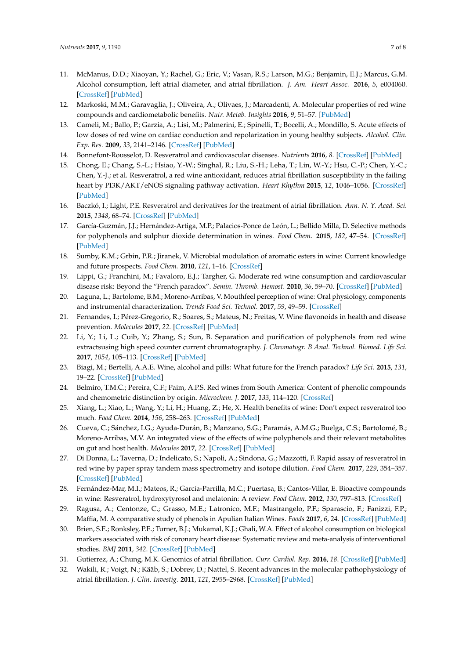- <span id="page-6-0"></span>11. McManus, D.D.; Xiaoyan, Y.; Rachel, G.; Eric, V.; Vasan, R.S.; Larson, M.G.; Benjamin, E.J.; Marcus, G.M. Alcohol consumption, left atrial diameter, and atrial fibrillation. *J. Am. Heart Assoc.* **2016**, *5*, e004060. [\[CrossRef\]](http://dx.doi.org/10.1161/JAHA.116.004060) [\[PubMed\]](http://www.ncbi.nlm.nih.gov/pubmed/27628571)
- <span id="page-6-1"></span>12. Markoski, M.M.; Garavaglia, J.; Oliveira, A.; Olivaes, J.; Marcadenti, A. Molecular properties of red wine compounds and cardiometabolic benefits. *Nutr. Metab. Insights* **2016**, *9*, 51–57. [\[PubMed\]](http://www.ncbi.nlm.nih.gov/pubmed/27512338)
- <span id="page-6-2"></span>13. Cameli, M.; Ballo, P.; Garzia, A.; Lisi, M.; Palmerini, E.; Spinelli, T.; Bocelli, A.; Mondillo, S. Acute effects of low doses of red wine on cardiac conduction and repolarization in young healthy subjects. *Alcohol. Clin. Exp. Res.* **2009**, *33*, 2141–2146. [\[CrossRef\]](http://dx.doi.org/10.1111/j.1530-0277.2009.01054.x) [\[PubMed\]](http://www.ncbi.nlm.nih.gov/pubmed/19764931)
- <span id="page-6-3"></span>14. Bonnefont-Rousselot, D. Resveratrol and cardiovascular diseases. *Nutrients* **2016**, *8*. [\[CrossRef\]](http://dx.doi.org/10.3390/nu8050250) [\[PubMed\]](http://www.ncbi.nlm.nih.gov/pubmed/27144581)
- <span id="page-6-4"></span>15. Chong, E.; Chang, S.-L.; Hsiao, Y.-W.; Singhal, R.; Liu, S.-H.; Leha, T.; Lin, W.-Y.; Hsu, C.-P.; Chen, Y.-C.; Chen, Y.-J.; et al. Resveratrol, a red wine antioxidant, reduces atrial fibrillation susceptibility in the failing heart by PI3K/AKT/eNOS signaling pathway activation. *Heart Rhythm* **2015**, *12*, 1046–1056. [\[CrossRef\]](http://dx.doi.org/10.1016/j.hrthm.2015.01.044) [\[PubMed\]](http://www.ncbi.nlm.nih.gov/pubmed/25640634)
- <span id="page-6-5"></span>16. Baczkó, I.; Light, P.E. Resveratrol and derivatives for the treatment of atrial fibrillation. *Ann. N. Y. Acad. Sci.* **2015**, *1348*, 68–74. [\[CrossRef\]](http://dx.doi.org/10.1111/nyas.12843) [\[PubMed\]](http://www.ncbi.nlm.nih.gov/pubmed/26205342)
- <span id="page-6-6"></span>17. García-Guzmán, J.J.; Hernández-Artiga, M.P.; Palacios-Ponce de León, L.; Bellido Milla, D. Selective methods for polyphenols and sulphur dioxide determination in wines. *Food Chem.* **2015**, *182*, 47–54. [\[CrossRef\]](http://dx.doi.org/10.1016/j.foodchem.2015.02.101) [\[PubMed\]](http://www.ncbi.nlm.nih.gov/pubmed/25842307)
- <span id="page-6-7"></span>18. Sumby, K.M.; Grbin, P.R.; Jiranek, V. Microbial modulation of aromatic esters in wine: Current knowledge and future prospects. *Food Chem.* **2010**, *121*, 1–16. [\[CrossRef\]](http://dx.doi.org/10.1016/j.foodchem.2009.12.004)
- <span id="page-6-8"></span>19. Lippi, G.; Franchini, M.; Favaloro, E.J.; Targher, G. Moderate red wine consumption and cardiovascular disease risk: Beyond the "French paradox". *Semin. Thromb. Hemost.* **2010**, *36*, 59–70. [\[CrossRef\]](http://dx.doi.org/10.1055/s-0030-1248725) [\[PubMed\]](http://www.ncbi.nlm.nih.gov/pubmed/20391297)
- <span id="page-6-9"></span>20. Laguna, L.; Bartolome, B.M.; Moreno-Arribas, V. Mouthfeel perception of wine: Oral physiology, components and instrumental characterization. *Trends Food Sci. Technol.* **2017**, *59*, 49–59. [\[CrossRef\]](http://dx.doi.org/10.1016/j.tifs.2016.10.011)
- <span id="page-6-10"></span>21. Fernandes, I.; Pérez-Gregorio, R.; Soares, S.; Mateus, N.; Freitas, V. Wine flavonoids in health and disease prevention. *Molecules* **2017**, *22*. [\[CrossRef\]](http://dx.doi.org/10.3390/molecules22020292) [\[PubMed\]](http://www.ncbi.nlm.nih.gov/pubmed/28216567)
- <span id="page-6-11"></span>22. Li, Y.; Li, L.; Cuib, Y.; Zhang, S.; Sun, B. Separation and purification of polyphenols from red wine extractsusing high speed counter current chromatography. *J. Chromatogr. B Anal. Technol. Biomed. Life Sci.* **2017**, *1054*, 105–113. [\[CrossRef\]](http://dx.doi.org/10.1016/j.jchromb.2017.03.006) [\[PubMed\]](http://www.ncbi.nlm.nih.gov/pubmed/28416338)
- <span id="page-6-12"></span>23. Biagi, M.; Bertelli, A.A.E. Wine, alcohol and pills: What future for the French paradox? *Life Sci.* **2015**, *131*, 19–22. [\[CrossRef\]](http://dx.doi.org/10.1016/j.lfs.2015.02.024) [\[PubMed\]](http://www.ncbi.nlm.nih.gov/pubmed/25841977)
- <span id="page-6-13"></span>24. Belmiro, T.M.C.; Pereira, C.F.; Paim, A.P.S. Red wines from South America: Content of phenolic compounds and chemometric distinction by origin. *Microchem. J.* **2017**, *133*, 114–120. [\[CrossRef\]](http://dx.doi.org/10.1016/j.microc.2017.03.018)
- <span id="page-6-14"></span>25. Xiang, L.; Xiao, L.; Wang, Y.; Li, H.; Huang, Z.; He, X. Health benefits of wine: Don't expect resveratrol too much. *Food Chem.* **2014**, *156*, 258–263. [\[CrossRef\]](http://dx.doi.org/10.1016/j.foodchem.2014.01.006) [\[PubMed\]](http://www.ncbi.nlm.nih.gov/pubmed/24629966)
- <span id="page-6-15"></span>26. Cueva, C.; Sánchez, I.G.; Ayuda-Durán, B.; Manzano, S.G.; Paramás, A.M.G.; Buelga, C.S.; Bartolomé, B.; Moreno-Arribas, M.V. An integrated view of the effects of wine polyphenols and their relevant metabolites on gut and host health. *Molecules* **2017**, *22*. [\[CrossRef\]](http://dx.doi.org/10.3390/molecules22010099) [\[PubMed\]](http://www.ncbi.nlm.nih.gov/pubmed/28067835)
- <span id="page-6-16"></span>27. Di Donna, L.; Taverna, D.; Indelicato, S.; Napoli, A.; Sindona, G.; Mazzotti, F. Rapid assay of resveratrol in red wine by paper spray tandem mass spectrometry and isotope dilution. *Food Chem.* **2017**, *229*, 354–357. [\[CrossRef\]](http://dx.doi.org/10.1016/j.foodchem.2017.02.098) [\[PubMed\]](http://www.ncbi.nlm.nih.gov/pubmed/28372185)
- <span id="page-6-17"></span>28. Fernández-Mar, M.I.; Mateos, R.; García-Parrilla, M.C.; Puertasa, B.; Cantos-Villar, E. Bioactive compounds in wine: Resveratrol, hydroxytyrosol and melatonin: A review. *Food Chem.* **2012**, *130*, 797–813. [\[CrossRef\]](http://dx.doi.org/10.1016/j.foodchem.2011.08.023)
- <span id="page-6-18"></span>29. Ragusa, A.; Centonze, C.; Grasso, M.E.; Latronico, M.F.; Mastrangelo, P.F.; Sparascio, F.; Fanizzi, F.P.; Maffia, M. A comparative study of phenols in Apulian Italian Wines. *Foods* **2017**, *6*, 24. [\[CrossRef\]](http://dx.doi.org/10.3390/foods6040024) [\[PubMed\]](http://www.ncbi.nlm.nih.gov/pubmed/28338616)
- <span id="page-6-19"></span>30. Brien, S.E.; Ronksley, P.E.; Turner, B.J.; Mukamal, K.J.; Ghali, W.A. Effect of alcohol consumption on biological markers associated with risk of coronary heart disease: Systematic review and meta-analysis of interventional studies. *BMJ* **2011**, *342*. [\[CrossRef\]](http://dx.doi.org/10.1136/bmj.d636) [\[PubMed\]](http://www.ncbi.nlm.nih.gov/pubmed/21343206)
- <span id="page-6-20"></span>31. Gutierrez, A.; Chung, M.K. Genomics of atrial fibrillation. *Curr. Cardiol. Rep.* **2016**, *18*. [\[CrossRef\]](http://dx.doi.org/10.1007/s11886-016-0735-8) [\[PubMed\]](http://www.ncbi.nlm.nih.gov/pubmed/27139902)
- <span id="page-6-21"></span>32. Wakili, R.; Voigt, N.; Kääb, S.; Dobrev, D.; Nattel, S. Recent advances in the molecular pathophysiology of atrial fibrillation. *J. Clin. Investig.* **2011**, *121*, 2955–2968. [\[CrossRef\]](http://dx.doi.org/10.1172/JCI46315) [\[PubMed\]](http://www.ncbi.nlm.nih.gov/pubmed/21804195)